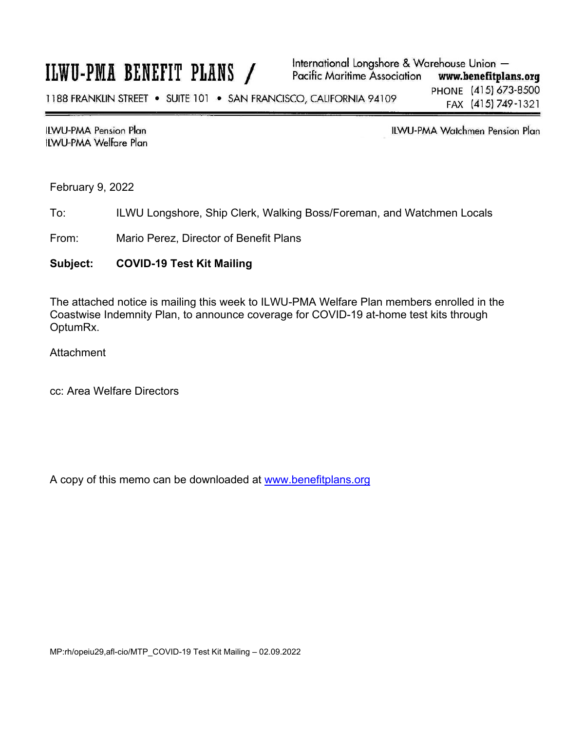# ILWU-PMA BENEFIT PLANS /

**ILWU-PMA Pension Plan ILWU-PMA Welfare Plan**  ILWU-PMA Watchmen Pension Plan

February 9, 2022

To: ILWU Longshore, Ship Clerk, Walking Boss/Foreman, and Watchmen Locals

From: Mario Perez, Director of Benefit Plans

### **Subject: COVID-19 Test Kit Mailing**

The attached notice is mailing this week to ILWU-PMA Welfare Plan members enrolled in the Coastwise Indemnity Plan, to announce coverage for COVID-19 at-home test kits through OptumRx.

**Attachment** 

cc: Area Welfare Directors

A copy of this memo can be downloaded at www.benefitplans.org

MP:rh/opeiu29,afl-cio/MTP\_COVID-19 Test Kit Mailing – 02.09.2022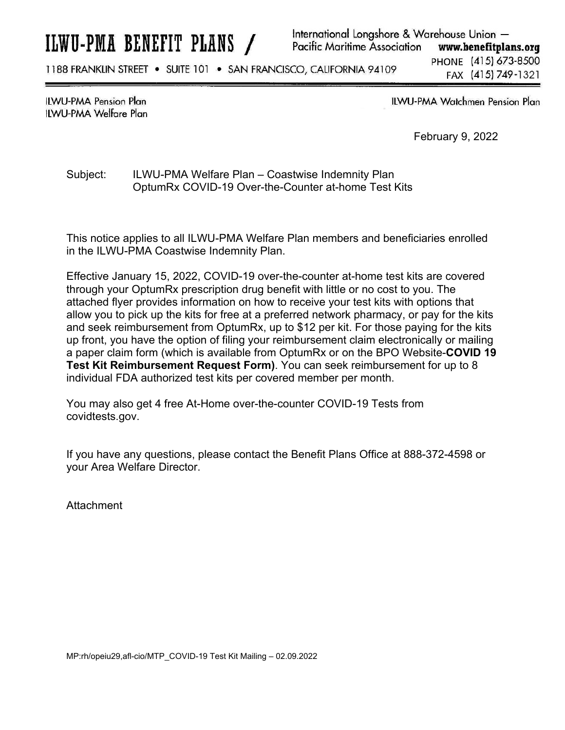# ILWU-PMA BENEFIT PLANS /

International Longshore & Warehouse Union -**Pacific Maritime Association** www.benefitplans.org

1188 FRANKLIN STREET . SUITE 101 . SAN FRANCISCO, CALIFORNIA 94109

PHONE (415) 673-8500 FAX (415) 749-1321

**ILWU-PMA Pension Plan ILWU-PMA Welfare Plan**  ILWU-PMA Watchmen Pension Plan

February 9, 2022

## Subject: ILWU-PMA Welfare Plan – Coastwise Indemnity Plan OptumRx COVID-19 Over-the-Counter at-home Test Kits

This notice applies to all ILWU-PMA Welfare Plan members and beneficiaries enrolled in the ILWU-PMA Coastwise Indemnity Plan.

Effective January 15, 2022, COVID-19 over-the-counter at-home test kits are covered through your OptumRx prescription drug benefit with little or no cost to you. The attached flyer provides information on how to receive your test kits with options that allow you to pick up the kits for free at a preferred network pharmacy, or pay for the kits and seek reimbursement from OptumRx, up to \$12 per kit. For those paying for the kits up front, you have the option of filing your reimbursement claim electronically or mailing a paper claim form (which is available from OptumRx or on the BPO Website-**COVID 19 Test Kit Reimbursement Request Form)**. You can seek reimbursement for up to 8 individual FDA authorized test kits per covered member per month.

You may also get 4 free At-Home over-the-counter COVID-19 Tests from covidtests.gov.

If you have any questions, please contact the Benefit Plans Office at 888-372-4598 or your Area Welfare Director.

Attachment